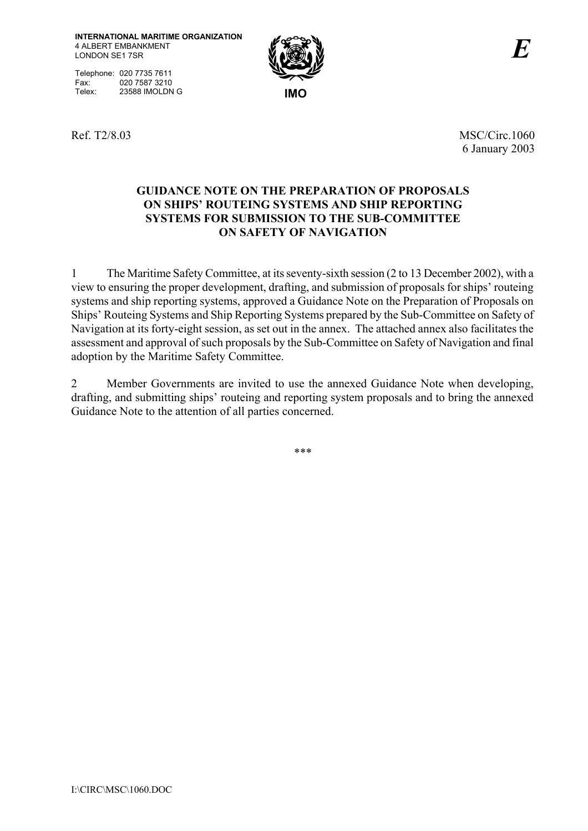Telephone: 020 7735 7611 Fax: 020 7587 3210 Telex: 23588 IMOLDN G **IMO** 



Ref. T2/8.03 MSC/Circ.1060 6 January 2003

### **GUIDANCE NOTE ON THE PREPARATION OF PROPOSALS ON SHIPS' ROUTEING SYSTEMS AND SHIP REPORTING SYSTEMS FOR SUBMISSION TO THE SUB-COMMITTEE ON SAFETY OF NAVIGATION**

1 The Maritime Safety Committee, at its seventy-sixth session (2 to 13 December 2002), with a view to ensuring the proper development, drafting, and submission of proposals for ships' routeing systems and ship reporting systems, approved a Guidance Note on the Preparation of Proposals on Ships' Routeing Systems and Ship Reporting Systems prepared by the Sub-Committee on Safety of Navigation at its forty-eight session, as set out in the annex. The attached annex also facilitates the assessment and approval of such proposals by the Sub-Committee on Safety of Navigation and final adoption by the Maritime Safety Committee.

2 Member Governments are invited to use the annexed Guidance Note when developing, drafting, and submitting ships' routeing and reporting system proposals and to bring the annexed Guidance Note to the attention of all parties concerned.

\*\*\*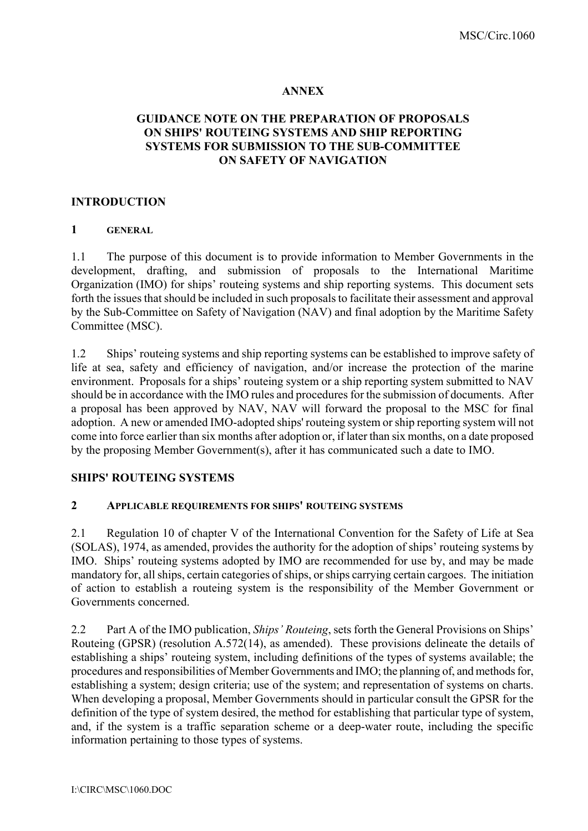### **ANNEX**

# **GUIDANCE NOTE ON THE PREPARATION OF PROPOSALS ON SHIPS' ROUTEING SYSTEMS AND SHIP REPORTING SYSTEMS FOR SUBMISSION TO THE SUB-COMMITTEE ON SAFETY OF NAVIGATION**

#### **INTRODUCTION**

#### **1 GENERAL**

1.1 The purpose of this document is to provide information to Member Governments in the development, drafting, and submission of proposals to the International Maritime Organization (IMO) for ships' routeing systems and ship reporting systems. This document sets forth the issues that should be included in such proposals to facilitate their assessment and approval by the Sub-Committee on Safety of Navigation (NAV) and final adoption by the Maritime Safety Committee (MSC).

1.2 Ships' routeing systems and ship reporting systems can be established to improve safety of life at sea, safety and efficiency of navigation, and/or increase the protection of the marine environment. Proposals for a ships' routeing system or a ship reporting system submitted to NAV should be in accordance with the IMO rules and procedures for the submission of documents. After a proposal has been approved by NAV, NAV will forward the proposal to the MSC for final adoption. A new or amended IMO-adopted ships' routeing system or ship reporting system will not come into force earlier than six months after adoption or, if later than six months, on a date proposed by the proposing Member Government(s), after it has communicated such a date to IMO.

### **SHIPS' ROUTEING SYSTEMS**

#### **2 APPLICABLE REQUIREMENTS FOR SHIPS' ROUTEING SYSTEMS**

2.1 Regulation 10 of chapter V of the International Convention for the Safety of Life at Sea (SOLAS), 1974, as amended, provides the authority for the adoption of ships' routeing systems by IMO. Ships' routeing systems adopted by IMO are recommended for use by, and may be made mandatory for, all ships, certain categories of ships, or ships carrying certain cargoes. The initiation of action to establish a routeing system is the responsibility of the Member Government or Governments concerned.

2.2 Part A of the IMO publication, *Ships' Routeing*, sets forth the General Provisions on Ships' Routeing (GPSR) (resolution A.572(14), as amended). These provisions delineate the details of establishing a ships' routeing system, including definitions of the types of systems available; the procedures and responsibilities of Member Governments and IMO; the planning of, and methods for, establishing a system; design criteria; use of the system; and representation of systems on charts. When developing a proposal, Member Governments should in particular consult the GPSR for the definition of the type of system desired, the method for establishing that particular type of system, and, if the system is a traffic separation scheme or a deep-water route, including the specific information pertaining to those types of systems.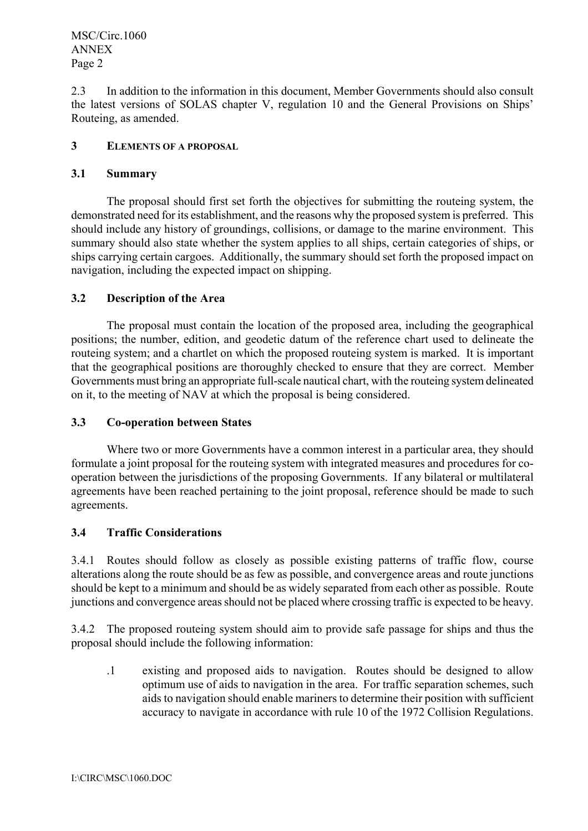MSC/Circ.1060 ANNEX Page 2

2.3 In addition to the information in this document, Member Governments should also consult the latest versions of SOLAS chapter V, regulation 10 and the General Provisions on Ships<sup>1</sup> Routeing, as amended.

### **3 ELEMENTS OF A PROPOSAL**

### **3.1 Summary**

The proposal should first set forth the objectives for submitting the routeing system, the demonstrated need for its establishment, and the reasons why the proposed system is preferred. This should include any history of groundings, collisions, or damage to the marine environment. This summary should also state whether the system applies to all ships, certain categories of ships, or ships carrying certain cargoes. Additionally, the summary should set forth the proposed impact on navigation, including the expected impact on shipping.

# **3.2 Description of the Area**

The proposal must contain the location of the proposed area, including the geographical positions; the number, edition, and geodetic datum of the reference chart used to delineate the routeing system; and a chartlet on which the proposed routeing system is marked. It is important that the geographical positions are thoroughly checked to ensure that they are correct. Member Governments must bring an appropriate full-scale nautical chart, with the routeing system delineated on it, to the meeting of NAV at which the proposal is being considered.

### **3.3 Co-operation between States**

Where two or more Governments have a common interest in a particular area, they should formulate a joint proposal for the routeing system with integrated measures and procedures for cooperation between the jurisdictions of the proposing Governments. If any bilateral or multilateral agreements have been reached pertaining to the joint proposal, reference should be made to such agreements.

# **3.4 Traffic Considerations**

3.4.1 Routes should follow as closely as possible existing patterns of traffic flow, course alterations along the route should be as few as possible, and convergence areas and route junctions should be kept to a minimum and should be as widely separated from each other as possible. Route junctions and convergence areas should not be placed where crossing traffic is expected to be heavy.

3.4.2 The proposed routeing system should aim to provide safe passage for ships and thus the proposal should include the following information:

.1 existing and proposed aids to navigation. Routes should be designed to allow optimum use of aids to navigation in the area. For traffic separation schemes, such aids to navigation should enable mariners to determine their position with sufficient accuracy to navigate in accordance with rule 10 of the 1972 Collision Regulations.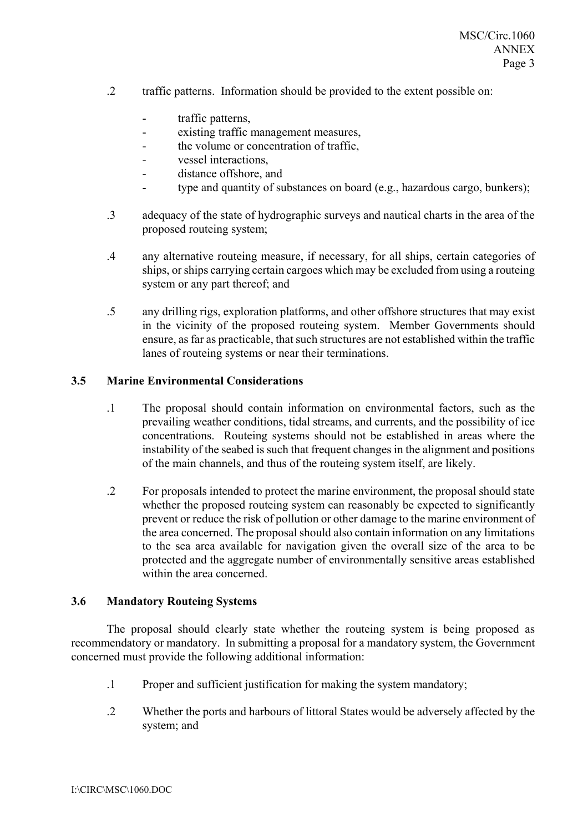- .2 traffic patterns. Information should be provided to the extent possible on:
	- traffic patterns,
	- existing traffic management measures,
	- the volume or concentration of traffic,
	- vessel interactions.
	- distance offshore, and
	- type and quantity of substances on board (e.g., hazardous cargo, bunkers);
- .3 adequacy of the state of hydrographic surveys and nautical charts in the area of the proposed routeing system;
- .4 any alternative routeing measure, if necessary, for all ships, certain categories of ships, or ships carrying certain cargoes which may be excluded from using a routeing system or any part thereof; and
- .5 any drilling rigs, exploration platforms, and other offshore structures that may exist in the vicinity of the proposed routeing system. Member Governments should ensure, as far as practicable, that such structures are not established within the traffic lanes of routeing systems or near their terminations.

### **3.5 Marine Environmental Considerations**

- .1 The proposal should contain information on environmental factors, such as the prevailing weather conditions, tidal streams, and currents, and the possibility of ice concentrations. Routeing systems should not be established in areas where the instability of the seabed is such that frequent changes in the alignment and positions of the main channels, and thus of the routeing system itself, are likely.
- .2 For proposals intended to protect the marine environment, the proposal should state whether the proposed routeing system can reasonably be expected to significantly prevent or reduce the risk of pollution or other damage to the marine environment of the area concerned. The proposal should also contain information on any limitations to the sea area available for navigation given the overall size of the area to be protected and the aggregate number of environmentally sensitive areas established within the area concerned.

### **3.6 Mandatory Routeing Systems**

The proposal should clearly state whether the routeing system is being proposed as recommendatory or mandatory. In submitting a proposal for a mandatory system, the Government concerned must provide the following additional information:

- .1 Proper and sufficient justification for making the system mandatory;
- .2 Whether the ports and harbours of littoral States would be adversely affected by the system; and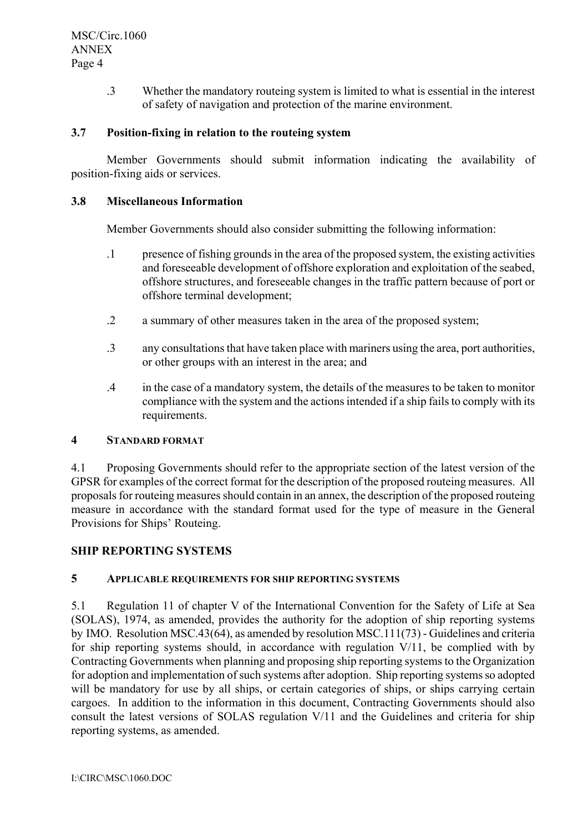.3 Whether the mandatory routeing system is limited to what is essential in the interest of safety of navigation and protection of the marine environment.

### **3.7 Position-fixing in relation to the routeing system**

Member Governments should submit information indicating the availability of position-fixing aids or services.

### **3.8 Miscellaneous Information**

Member Governments should also consider submitting the following information:

- .1 presence of fishing grounds in the area of the proposed system, the existing activities and foreseeable development of offshore exploration and exploitation of the seabed, offshore structures, and foreseeable changes in the traffic pattern because of port or offshore terminal development;
- .2 a summary of other measures taken in the area of the proposed system;
- .3 any consultations that have taken place with mariners using the area, port authorities, or other groups with an interest in the area; and
- .4 in the case of a mandatory system, the details of the measures to be taken to monitor compliance with the system and the actions intended if a ship fails to comply with its requirements.

### **4 STANDARD FORMAT**

4.1 Proposing Governments should refer to the appropriate section of the latest version of the GPSR for examples of the correct format for the description of the proposed routeing measures. All proposals for routeing measures should contain in an annex, the description of the proposed routeing measure in accordance with the standard format used for the type of measure in the General Provisions for Ships' Routeing.

### **SHIP REPORTING SYSTEMS**

# **5 APPLICABLE REQUIREMENTS FOR SHIP REPORTING SYSTEMS**

5.1 Regulation 11 of chapter V of the International Convention for the Safety of Life at Sea (SOLAS), 1974, as amended, provides the authority for the adoption of ship reporting systems by IMO. Resolution MSC.43(64), as amended by resolution MSC.111(73) - Guidelines and criteria for ship reporting systems should, in accordance with regulation V/11, be complied with by Contracting Governments when planning and proposing ship reporting systems to the Organization for adoption and implementation of such systems after adoption. Ship reporting systems so adopted will be mandatory for use by all ships, or certain categories of ships, or ships carrying certain cargoes. In addition to the information in this document, Contracting Governments should also consult the latest versions of SOLAS regulation V/11 and the Guidelines and criteria for ship reporting systems, as amended.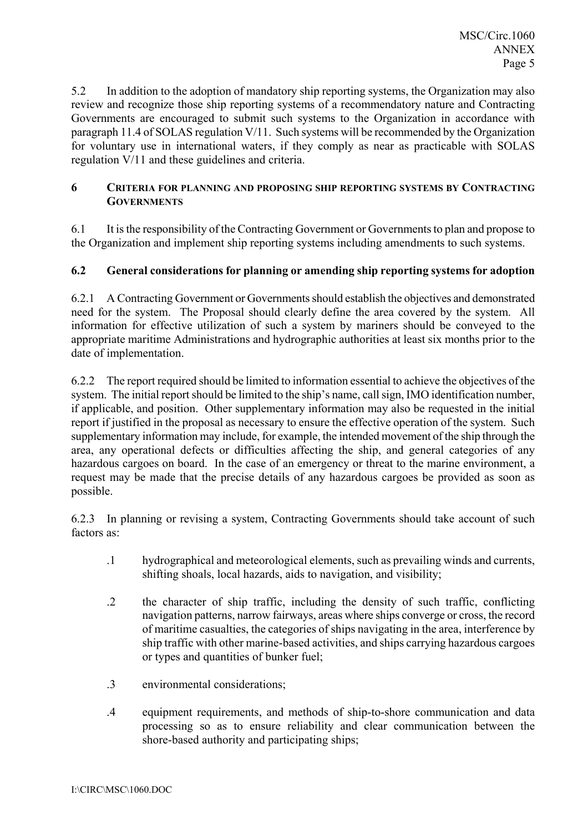5.2 In addition to the adoption of mandatory ship reporting systems, the Organization may also review and recognize those ship reporting systems of a recommendatory nature and Contracting Governments are encouraged to submit such systems to the Organization in accordance with paragraph 11.4 of SOLAS regulation V/11. Such systems will be recommended by the Organization for voluntary use in international waters, if they comply as near as practicable with SOLAS regulation V/11 and these guidelines and criteria.

# **6 CRITERIA FOR PLANNING AND PROPOSING SHIP REPORTING SYSTEMS BY CONTRACTING GOVERNMENTS**

6.1 It is the responsibility of the Contracting Government or Governments to plan and propose to the Organization and implement ship reporting systems including amendments to such systems.

# **6.2 General considerations for planning or amending ship reporting systems for adoption**

6.2.1 A Contracting Government or Governments should establish the objectives and demonstrated need for the system. The Proposal should clearly define the area covered by the system. All information for effective utilization of such a system by mariners should be conveyed to the appropriate maritime Administrations and hydrographic authorities at least six months prior to the date of implementation.

6.2.2 The report required should be limited to information essential to achieve the objectives of the system. The initial report should be limited to the ship's name, call sign, IMO identification number, if applicable, and position. Other supplementary information may also be requested in the initial report if justified in the proposal as necessary to ensure the effective operation of the system. Such supplementary information may include, for example, the intended movement of the ship through the area, any operational defects or difficulties affecting the ship, and general categories of any hazardous cargoes on board. In the case of an emergency or threat to the marine environment, a request may be made that the precise details of any hazardous cargoes be provided as soon as possible.

6.2.3 In planning or revising a system, Contracting Governments should take account of such factors as:

- .1 hydrographical and meteorological elements, such as prevailing winds and currents, shifting shoals, local hazards, aids to navigation, and visibility;
- .2 the character of ship traffic, including the density of such traffic, conflicting navigation patterns, narrow fairways, areas where ships converge or cross, the record of maritime casualties, the categories of ships navigating in the area, interference by ship traffic with other marine-based activities, and ships carrying hazardous cargoes or types and quantities of bunker fuel;
- .3 environmental considerations;
- .4 equipment requirements, and methods of ship-to-shore communication and data processing so as to ensure reliability and clear communication between the shore-based authority and participating ships;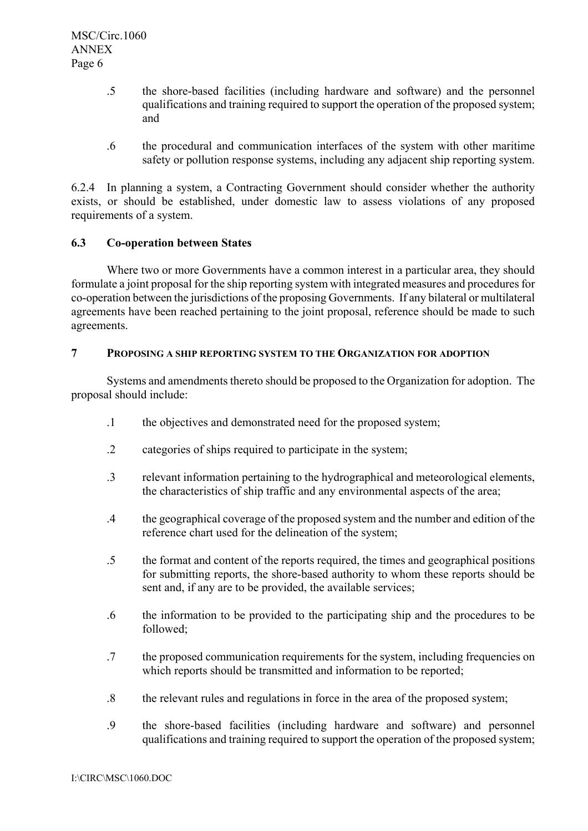- .5 the shore-based facilities (including hardware and software) and the personnel qualifications and training required to support the operation of the proposed system; and
- .6 the procedural and communication interfaces of the system with other maritime safety or pollution response systems, including any adjacent ship reporting system.

6.2.4 In planning a system, a Contracting Government should consider whether the authority exists, or should be established, under domestic law to assess violations of any proposed requirements of a system.

### **6.3 Co-operation between States**

Where two or more Governments have a common interest in a particular area, they should formulate a joint proposal for the ship reporting system with integrated measures and procedures for co-operation between the jurisdictions of the proposing Governments. If any bilateral or multilateral agreements have been reached pertaining to the joint proposal, reference should be made to such agreements.

# **7 PROPOSING A SHIP REPORTING SYSTEM TO THE ORGANIZATION FOR ADOPTION**

 Systems and amendments thereto should be proposed to the Organization for adoption. The proposal should include:

- .1 the objectives and demonstrated need for the proposed system;
- .2 categories of ships required to participate in the system;
- .3 relevant information pertaining to the hydrographical and meteorological elements, the characteristics of ship traffic and any environmental aspects of the area;
- .4 the geographical coverage of the proposed system and the number and edition of the reference chart used for the delineation of the system;
- .5 the format and content of the reports required, the times and geographical positions for submitting reports, the shore-based authority to whom these reports should be sent and, if any are to be provided, the available services;
- .6 the information to be provided to the participating ship and the procedures to be followed;
- .7 the proposed communication requirements for the system, including frequencies on which reports should be transmitted and information to be reported:
- .8 the relevant rules and regulations in force in the area of the proposed system;
- .9 the shore-based facilities (including hardware and software) and personnel qualifications and training required to support the operation of the proposed system;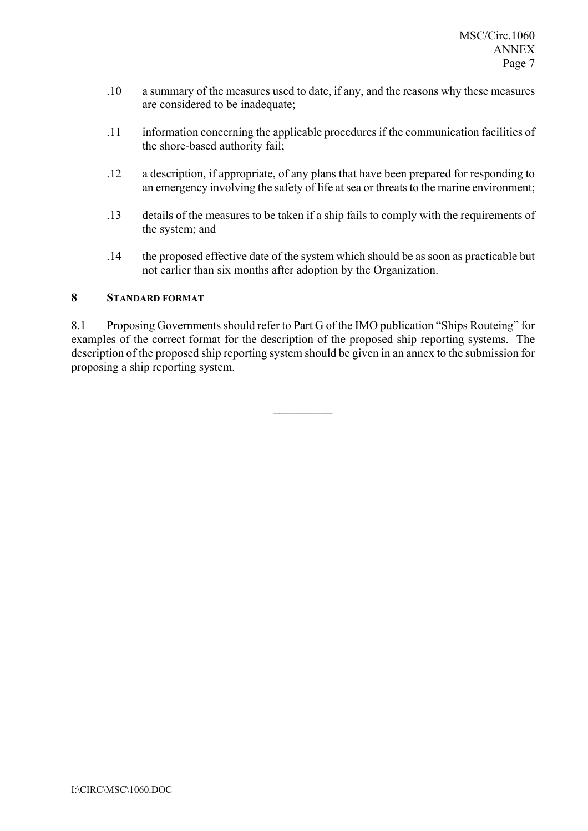- .10 a summary of the measures used to date, if any, and the reasons why these measures are considered to be inadequate;
- .11 information concerning the applicable procedures if the communication facilities of the shore-based authority fail;
- .12 a description, if appropriate, of any plans that have been prepared for responding to an emergency involving the safety of life at sea or threats to the marine environment;
- .13 details of the measures to be taken if a ship fails to comply with the requirements of the system; and
- .14 the proposed effective date of the system which should be as soon as practicable but not earlier than six months after adoption by the Organization.

# **8 STANDARD FORMAT**

8.1 Proposing Governments should refer to Part G of the IMO publication "Ships Routeing" for examples of the correct format for the description of the proposed ship reporting systems. The description of the proposed ship reporting system should be given in an annex to the submission for proposing a ship reporting system.

 $\frac{1}{2}$